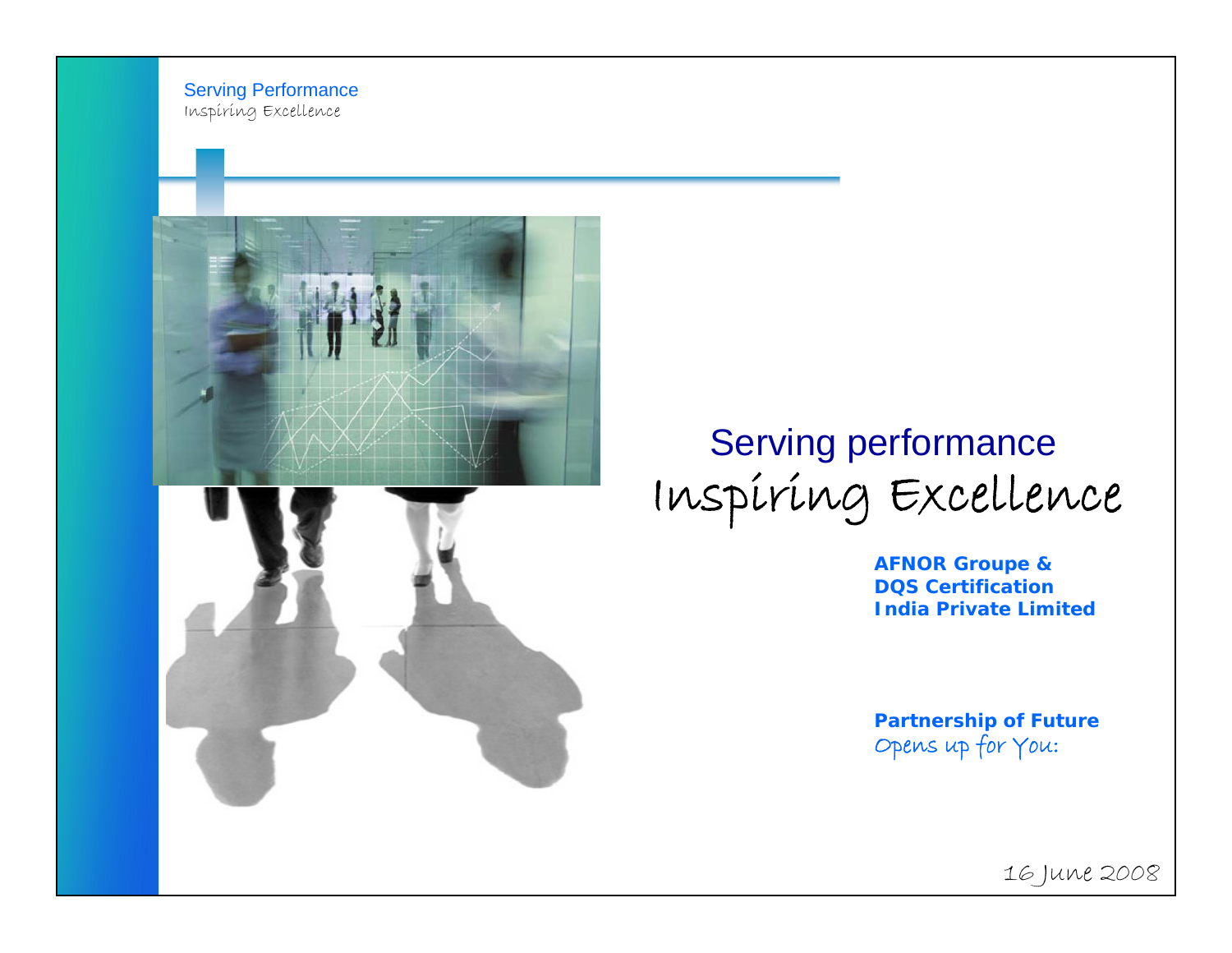Serving Performance Inspiring Excellence





## Serving performance Inspiring Excellence

**AFNOR Groupe & DQS Certification India Private Limited**

**Partnership of Future** Opens up for You:

16 June 2008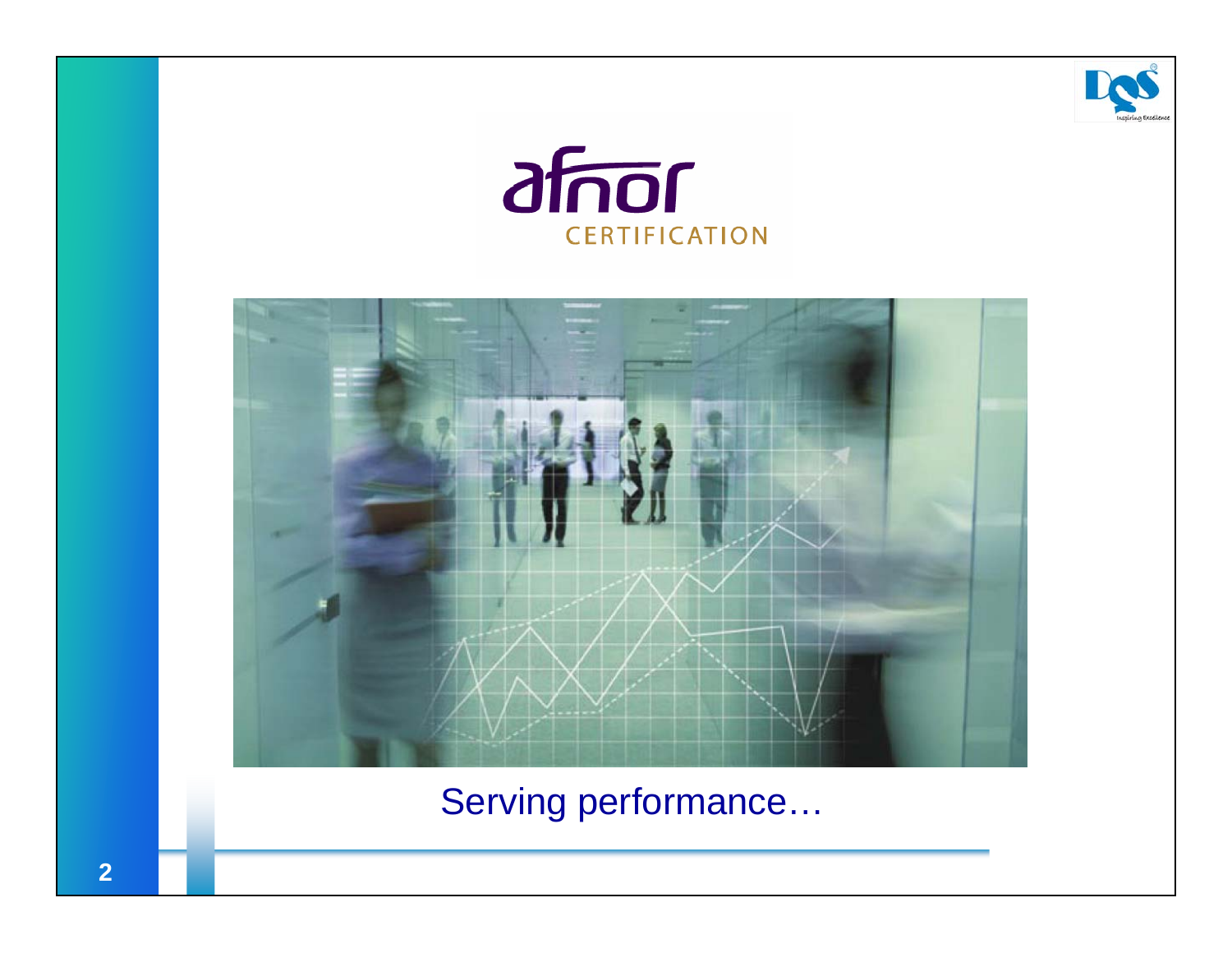





Serving performance...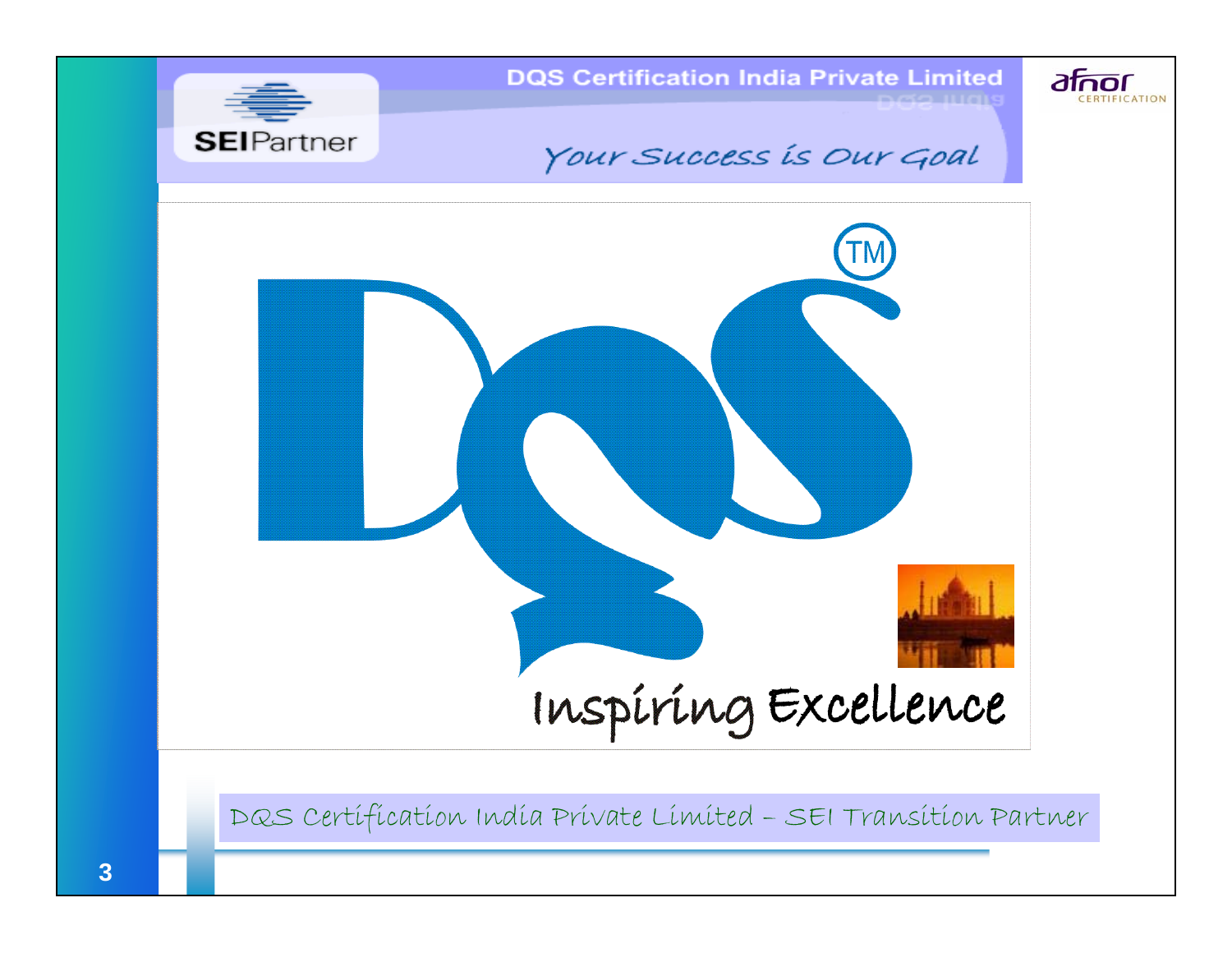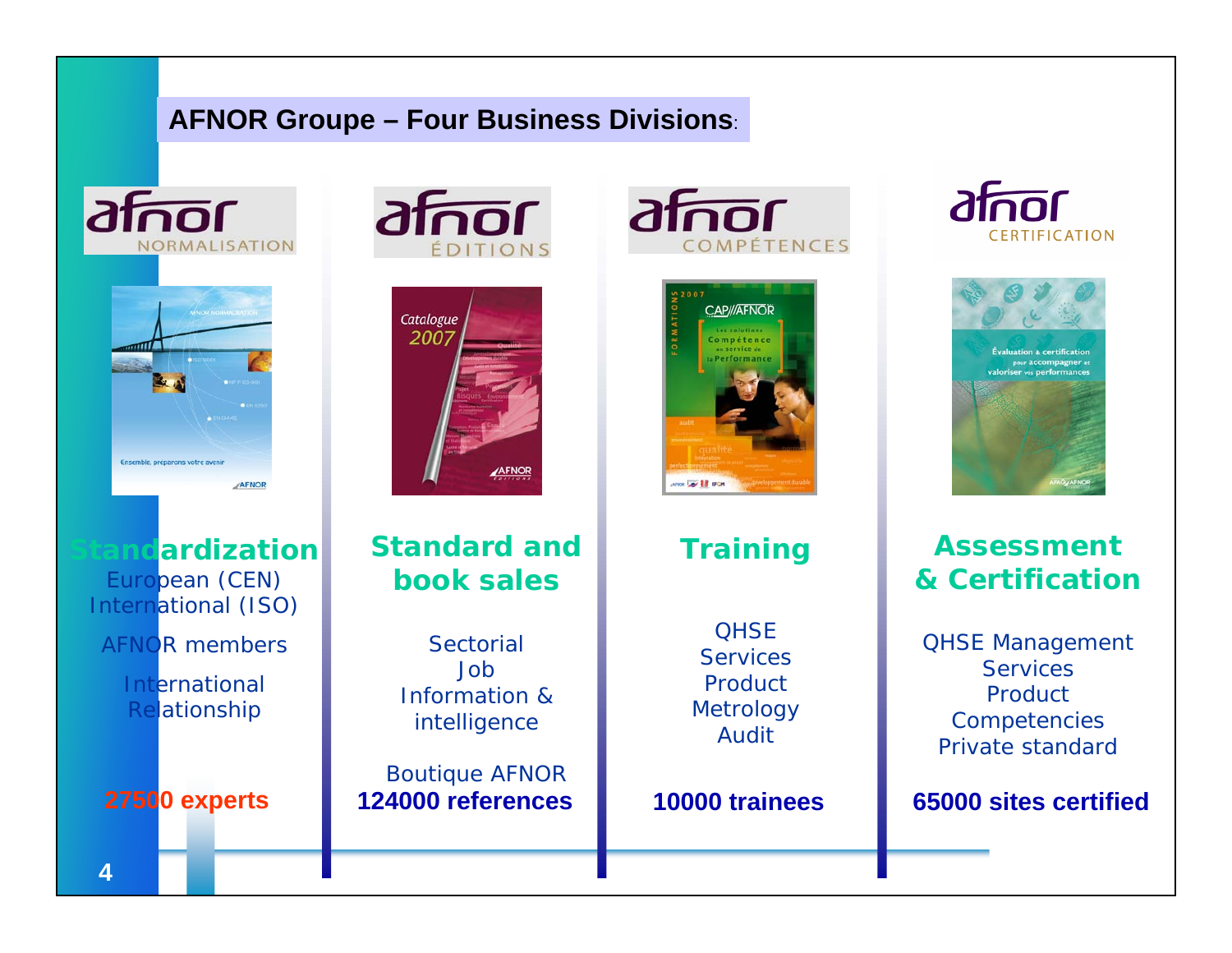#### **AFNOR Groupe – Four Business Divisions**:





European (CEN) International (ISO)

AFNOR members

International Relationship













**Assessment& Certification**

QHSE Management **Services** Product**Competencies** Private standard

**Sandization Standard andbook sales**

> **Sectorial** JobInformation & intelligence

Boutique AFNOR **27500 experts 124000 references 10000 trainees 65000 sites certified**

**OHSE Services Product Metrology** 

Audit

**Training**

**4**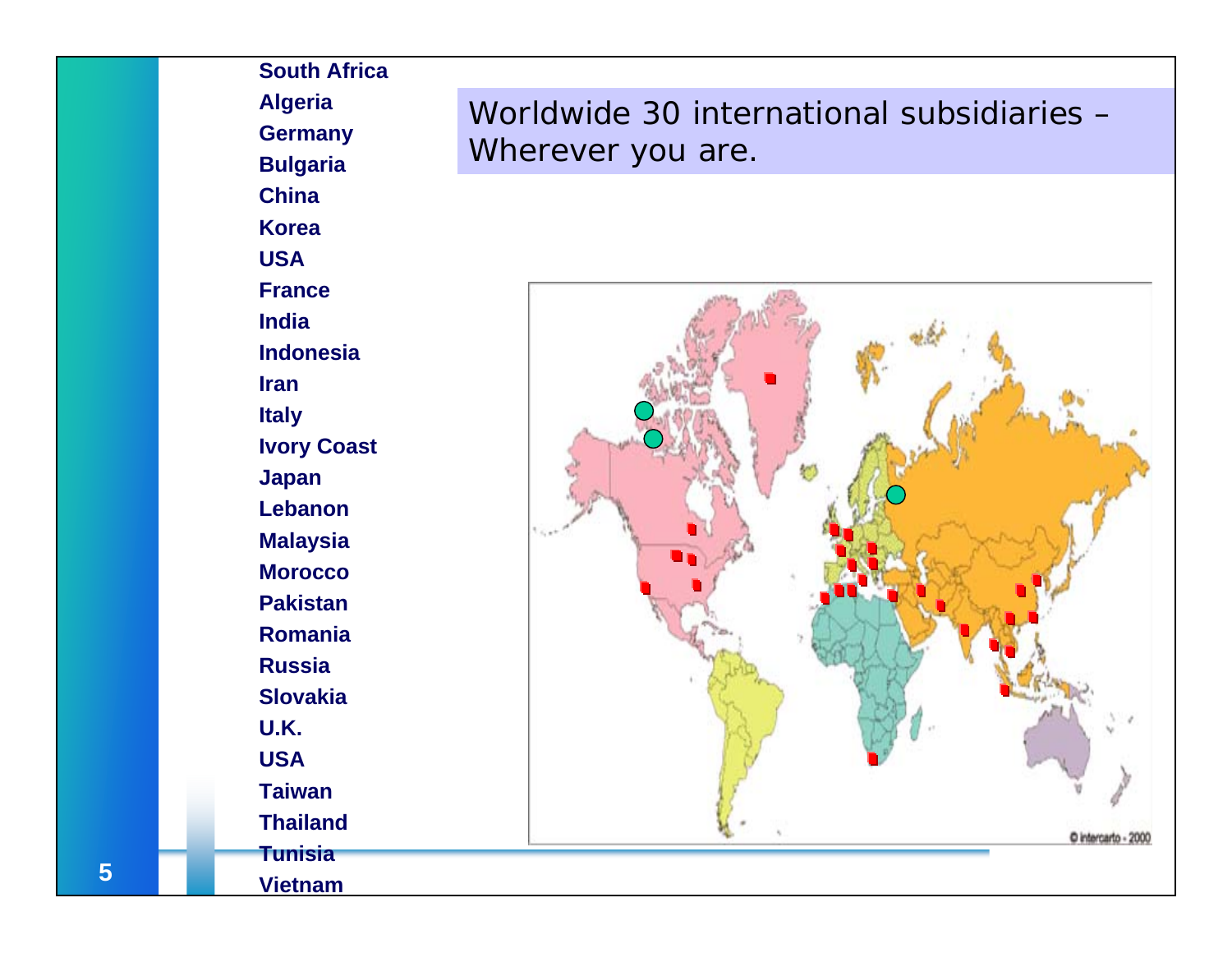**South AfricaAlgeria Germany Bulgaria China KoreaUSA FranceIndiaIndonesiaIranItaly Ivory Coast Japan LebanonMalaysia MoroccoPakistanRomaniaRussiaSlovakiaU.K.USATaiwanThailand**

### Worldwide 30 international subsidiaries – Wherever you are.



**5**

**Vietnam**

**Tunisia**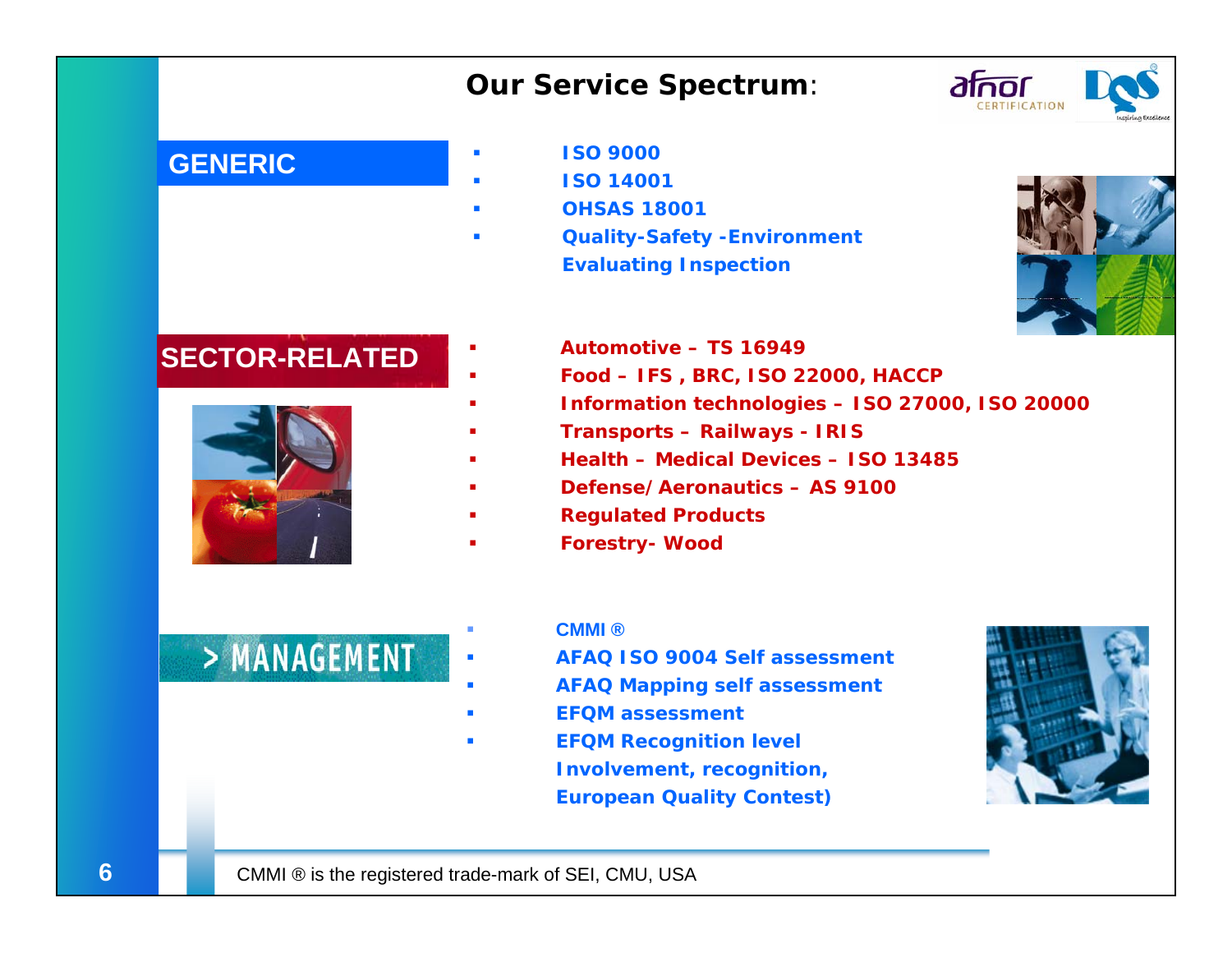#### *Our Service Spectrum:*



#### **GENERIC**

- **ISO 9000**
- **ISO 14001**
- П **OHSAS 18001**
- П **Quality-Safety -Environment Evaluating Inspection**



#### **SECTOR-RELATED**



- **Automotive – TS 16949**
	- **Food – IFS , BRC, ISO 22000, HACCP**
- **Information technologies – ISO 27000, ISO 20000**
- **Transports – Railways - IRIS**
- **Health – Medical Devices – ISO 13485**
- **Defense/Aeronautics – AS 9100**
- **Regulated Products**
- **Forestry- Wood**

## > MANAGEMENT

#### **CMMI ®**

- **AFAQ ISO 9004 Self assessment**
- **AFAQ Mapping self assessment**
- **EFQM assessment**
- **EFQM Recognition level Involvement, recognition, European Quality Contest)**



г

П

П

Г

Г

Г

Г

Г

Г

Г

Г

 $\overline{\phantom{a}}$ 

٠

Г

Г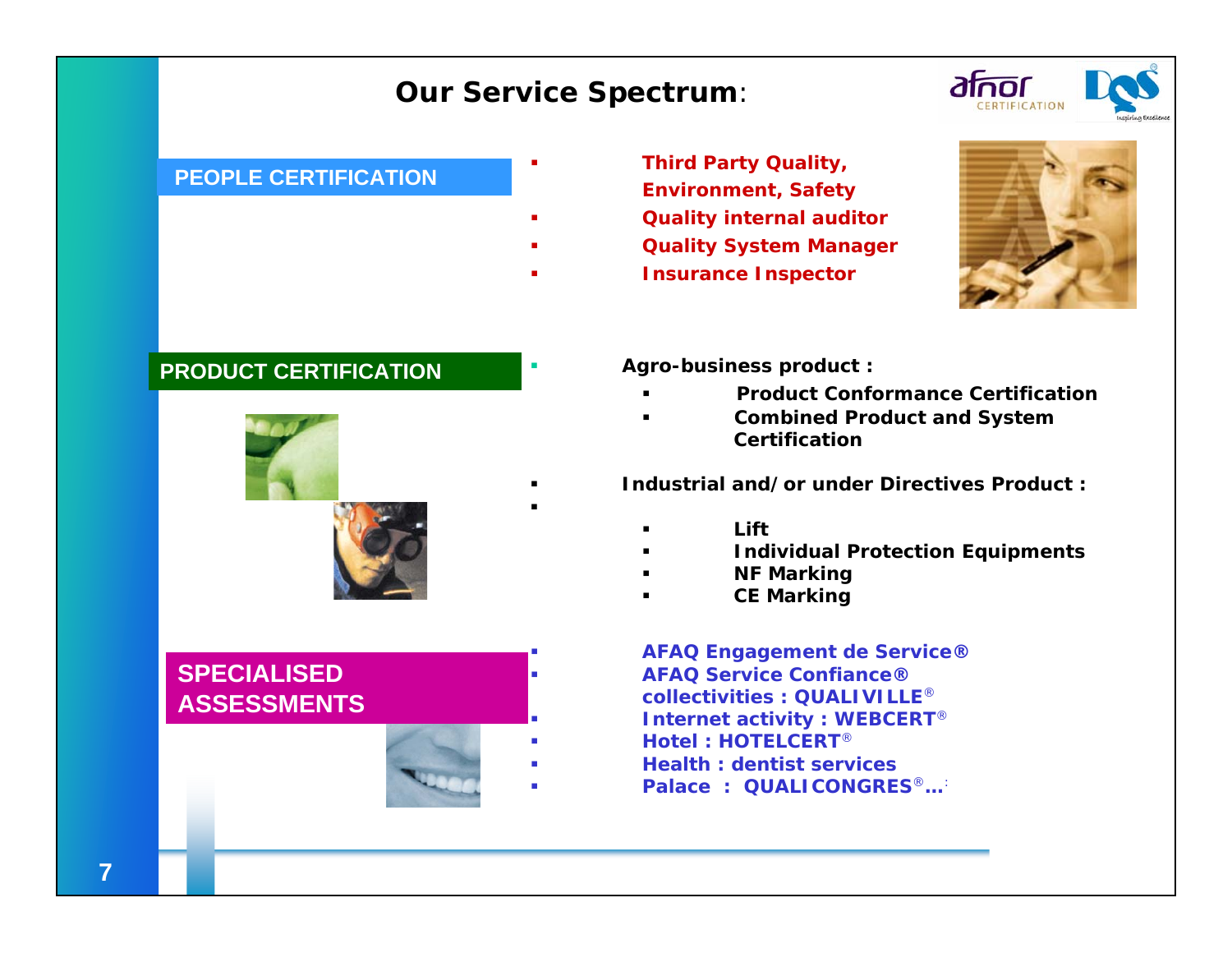#### *Our Service Spectrum:*

Г

г

n



#### **PEOPLE CERTIFICATION**

- -
- 

#### **PRODUCT CERTIFICATION**



**SPECIALISED ASSESSMENTS**

Г

Г

г

Г

Г

- **Third Party Quality, Environment, Safety**
- **Quality internal auditor**
- **Quality System Manager**
	- **Insurance Inspector**



- **Agro-business product :**
	- n **Product Conformance Certification**
	- n **Combined Product and System Certification**
- **Industrial and/or under Directives Product :** 
	- n **Lift**
	- n **Individual Protection Equipments**
	- n **NF Marking**
	- n **CE Marking**

 **AFAQ Engagement de Service® AFAQ Service Confiance®collectivities : QUALIVILLE**® **Internet activity : WEBCERT**® **Hotel : HOTELCERT**® **Health : dentist services**

**Palace : QUALICONGRES**®**…**: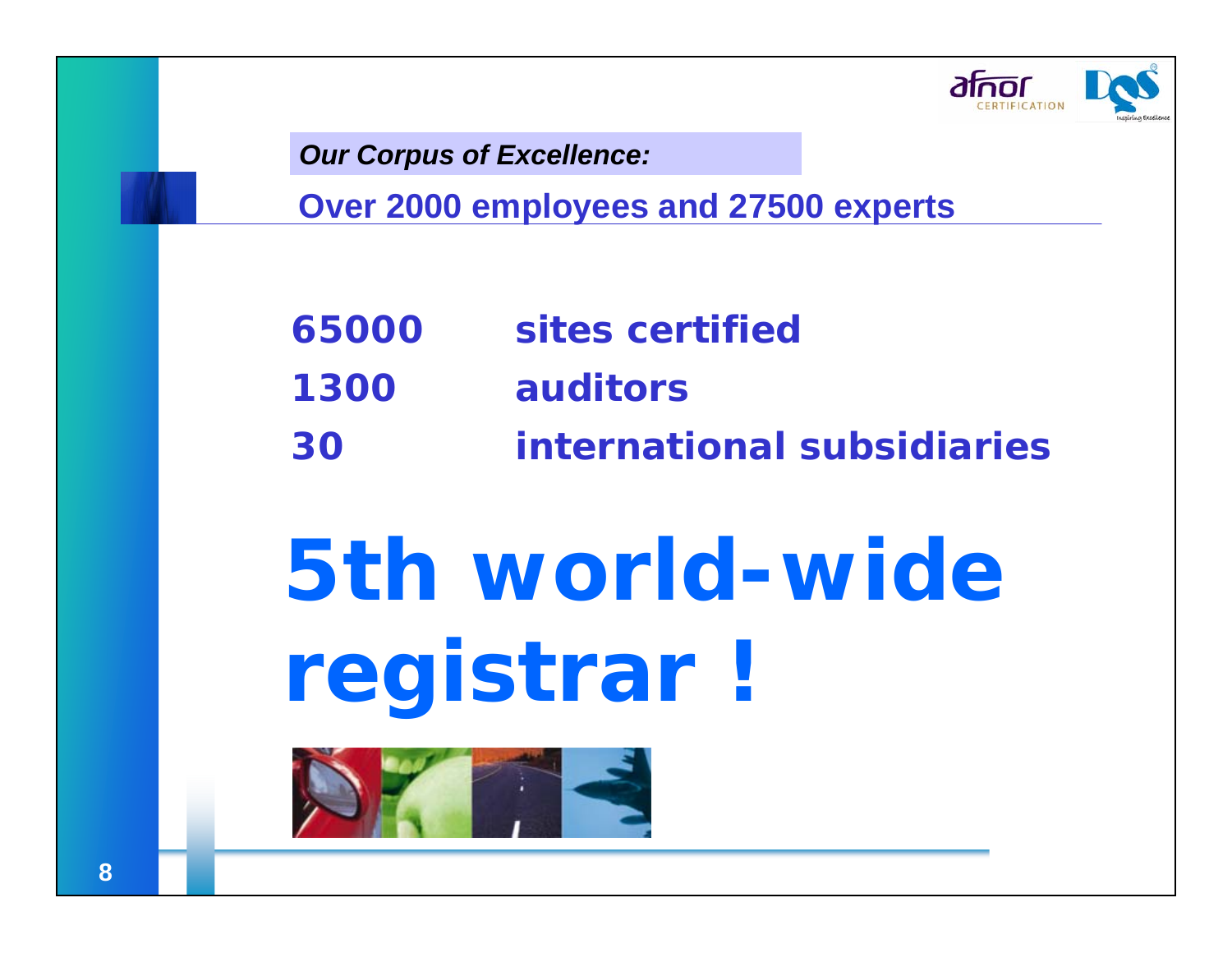

*Our Corpus of Excellence:*

**Over 2000 employees and 27500 experts**

- **65000 sites certified**
- **1300 auditors**
- **30 international subsidiaries**

# **5th world-wideregistrar !**

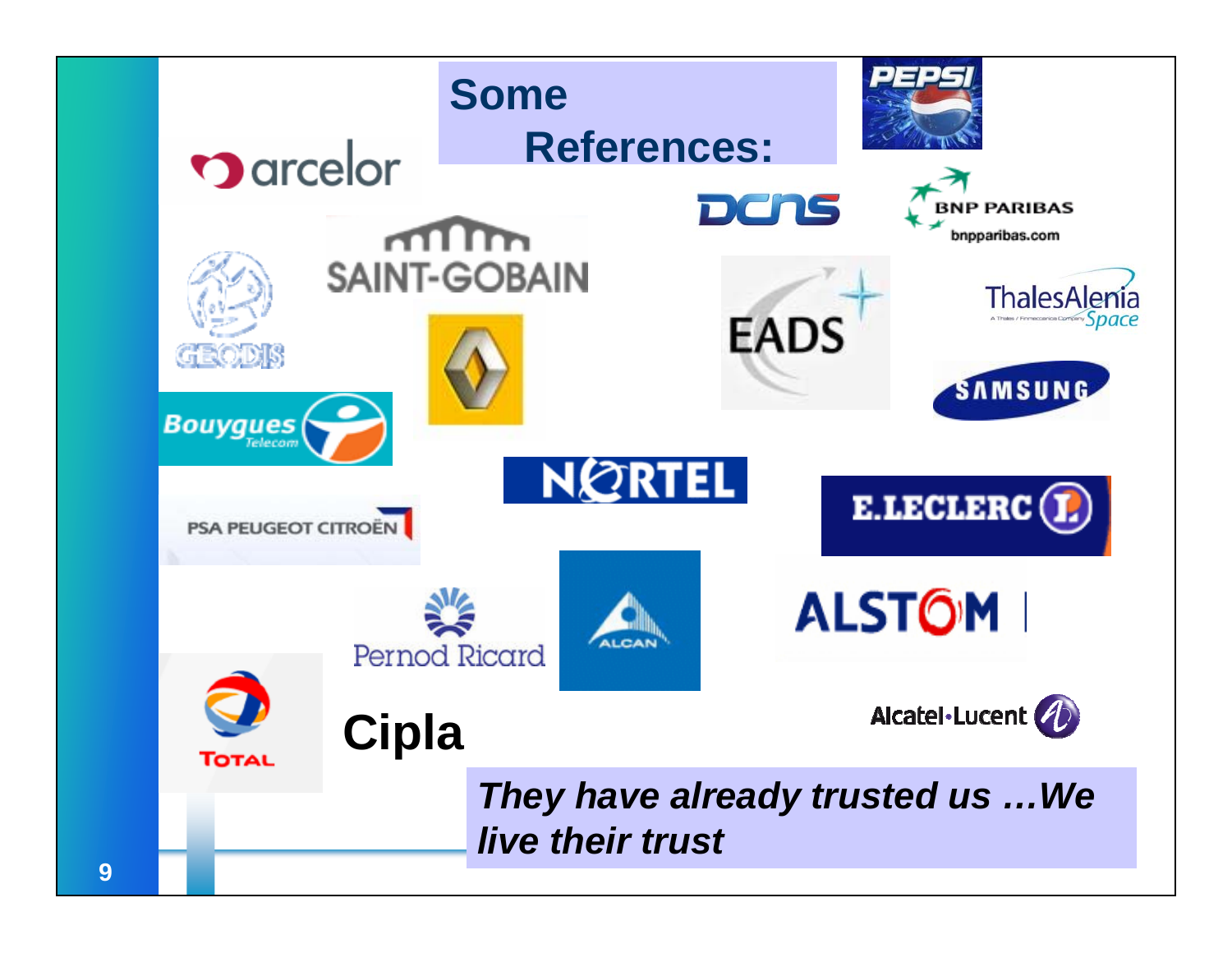